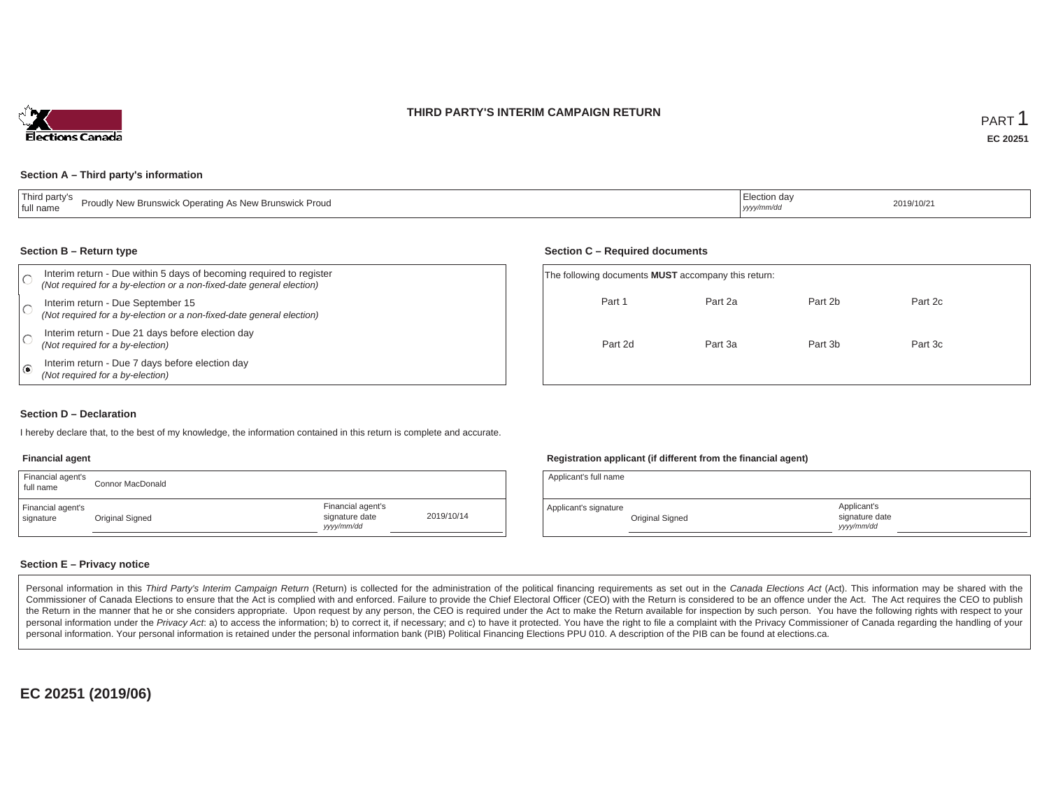### **THIRD PARTY'S INTERIM CAMPAIGN RETURN**



#### **Section A – Third party's information**

| Third party's<br>Proudly New Brunswick Operating As New Brunswick Proud<br>full name | iection day<br>2019/10/21<br>yyyy/mm/dd |  |
|--------------------------------------------------------------------------------------|-----------------------------------------|--|
|--------------------------------------------------------------------------------------|-----------------------------------------|--|

#### **Section B – Return type**

|      | Interim return - Due within 5 days of becoming required to register<br>(Not required for a by-election or a non-fixed-date general election) | The following documents <b>MUST</b> accompany this return: |         |         |         |  |
|------|----------------------------------------------------------------------------------------------------------------------------------------------|------------------------------------------------------------|---------|---------|---------|--|
|      | Interim return - Due September 15<br>(Not required for a by-election or a non-fixed-date general election)                                   | Part 1                                                     | Part 2a | Part 2b | Part 2c |  |
|      | Interim return - Due 21 days before election day<br>(Not required for a by-election)                                                         | Part 2d                                                    | Part 3a | Part 3b | Part 3c |  |
| ه، ا | Interim return - Due 7 days before election day<br>(Not required for a by-election)                                                          |                                                            |         |         |         |  |

### **Section D – Declaration**

I hereby declare that, to the best of my knowledge, the information contained in this return is complete and accurate.

#### **Financial agent**

| Financial agent's<br>full name | Connor MacDonald |                                                  |            |
|--------------------------------|------------------|--------------------------------------------------|------------|
| Financial agent's<br>signature | Original Signed  | Financial agent's<br>signature date<br>vyy/mm/dd | 2019/10/14 |

### **Registration applicant (if different from the financial agent)**

| Applicant's full name |                 |                                             |  |
|-----------------------|-----------------|---------------------------------------------|--|
| Applicant's signature | Original Signed | Applicant's<br>signature date<br>vyyy/mm/dd |  |

### **Section E – Privacy notice**

Personal information in this Third Party's Interim Campaign Return (Return) is collected for the administration of the political financing requirements as set out in the Canada Elections Act (Act). This information may be Commissioner of Canada Elections to ensure that the Act is complied with and enforced. Failure to provide the Chief Electoral Officer (CEO) with the Return is considered to be an offence under the Act. The Act requires the the Return in the manner that he or she considers appropriate. Upon request by any person, the CEO is required under the Act to make the Return available for inspection by such person. You have the following rights with re personal information under the Privacy Act. a) to access the information; b) to correct it, if necessary; and c) to have it protected. You have the right to file a complaint with the Privacy Commissioner of Canada regardin personal information. Your personal information is retained under the personal information bank (PIB) Political Financing Elections PPU 010. A description of the PIB can be found at elections.ca.

**EC 20251 (2019/06)**

### **Section C – Required documents**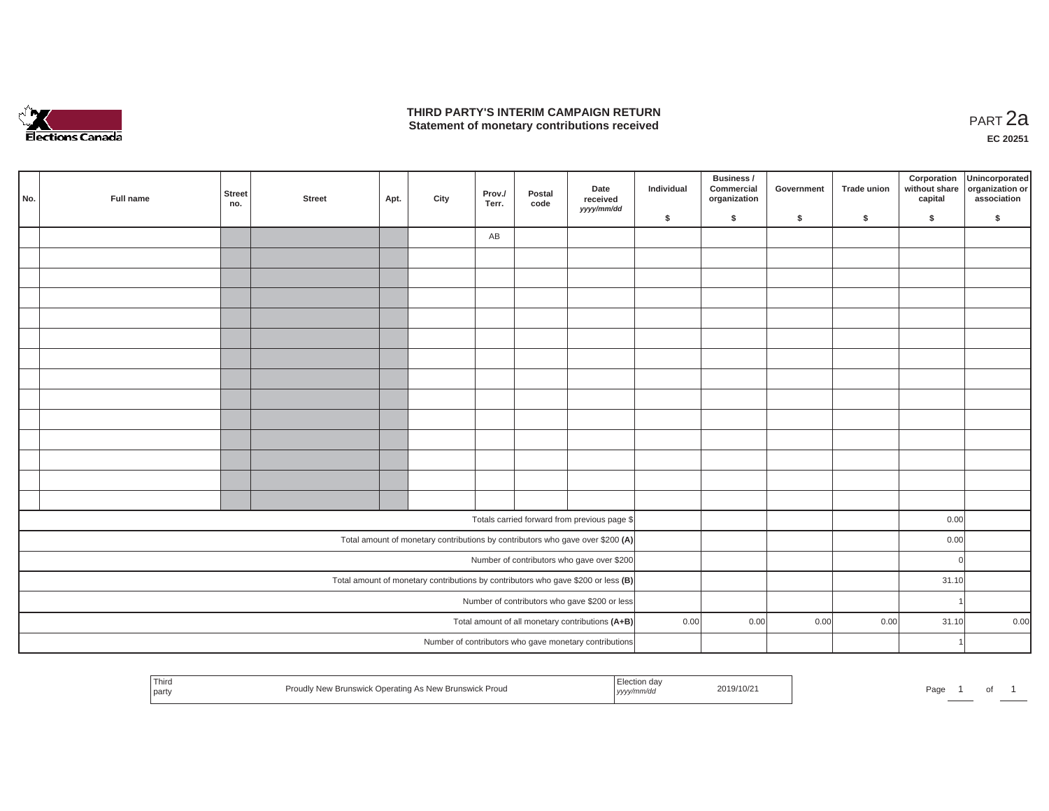

### **THIRD PARTY'S INTERIM CAMPAIGN RETURN THIRD PARTY'S INTERIM CAMPAIGN RETURN<br>Statement of monetary contributions received PART 2a**

**EC 20251**

| No. |                                                                                     | Full name | <b>Street</b><br>no. | <b>Street</b> | Apt. | City | Prov./<br>Terr. | Postal<br>code | Date<br>received<br>yyyy/mm/dd                                                 | Individual | <b>Business /</b><br>Commercial<br>organization | Government | <b>Trade union</b> | Corporation<br>without share<br>capital | Unincorporated<br>organization or<br>association |
|-----|-------------------------------------------------------------------------------------|-----------|----------------------|---------------|------|------|-----------------|----------------|--------------------------------------------------------------------------------|------------|-------------------------------------------------|------------|--------------------|-----------------------------------------|--------------------------------------------------|
|     |                                                                                     |           |                      |               |      |      |                 |                |                                                                                | \$         | \$                                              | \$         | \$                 | \$                                      | \$                                               |
|     |                                                                                     |           |                      |               |      |      | AB              |                |                                                                                |            |                                                 |            |                    |                                         |                                                  |
|     |                                                                                     |           |                      |               |      |      |                 |                |                                                                                |            |                                                 |            |                    |                                         |                                                  |
|     |                                                                                     |           |                      |               |      |      |                 |                |                                                                                |            |                                                 |            |                    |                                         |                                                  |
|     |                                                                                     |           |                      |               |      |      |                 |                |                                                                                |            |                                                 |            |                    |                                         |                                                  |
|     |                                                                                     |           |                      |               |      |      |                 |                |                                                                                |            |                                                 |            |                    |                                         |                                                  |
|     |                                                                                     |           |                      |               |      |      |                 |                |                                                                                |            |                                                 |            |                    |                                         |                                                  |
|     |                                                                                     |           |                      |               |      |      |                 |                |                                                                                |            |                                                 |            |                    |                                         |                                                  |
|     |                                                                                     |           |                      |               |      |      |                 |                |                                                                                |            |                                                 |            |                    |                                         |                                                  |
|     |                                                                                     |           |                      |               |      |      |                 |                |                                                                                |            |                                                 |            |                    |                                         |                                                  |
|     |                                                                                     |           |                      |               |      |      |                 |                |                                                                                |            |                                                 |            |                    |                                         |                                                  |
|     |                                                                                     |           |                      |               |      |      |                 |                |                                                                                |            |                                                 |            |                    |                                         |                                                  |
|     |                                                                                     |           |                      |               |      |      |                 |                |                                                                                |            |                                                 |            |                    |                                         |                                                  |
|     |                                                                                     |           |                      |               |      |      |                 |                |                                                                                |            |                                                 |            |                    |                                         |                                                  |
|     |                                                                                     |           |                      |               |      |      |                 |                |                                                                                |            |                                                 |            |                    |                                         |                                                  |
|     |                                                                                     |           |                      |               |      |      |                 |                | Totals carried forward from previous page \$                                   |            |                                                 |            |                    | 0.00                                    |                                                  |
|     |                                                                                     |           |                      |               |      |      |                 |                | Total amount of monetary contributions by contributors who gave over \$200 (A) |            |                                                 |            |                    | 0.00                                    |                                                  |
|     |                                                                                     |           |                      |               |      |      |                 |                | Number of contributors who gave over \$200                                     |            |                                                 |            |                    | $\circ$                                 |                                                  |
|     | Total amount of monetary contributions by contributors who gave \$200 or less $(B)$ |           |                      |               |      |      |                 |                |                                                                                |            |                                                 |            | 31.10              |                                         |                                                  |
|     | Number of contributors who gave \$200 or less                                       |           |                      |               |      |      |                 |                |                                                                                |            |                                                 |            | -1                 |                                         |                                                  |
|     | Total amount of all monetary contributions (A+B)                                    |           |                      |               |      |      |                 |                | 0.00                                                                           | 0.00       | 0.00                                            | 0.00       | 31.10              | 0.00                                    |                                                  |
|     |                                                                                     |           |                      |               |      |      |                 |                | Number of contributors who gave monetary contributions                         |            |                                                 |            |                    | $\overline{1}$                          |                                                  |
|     |                                                                                     |           |                      |               |      |      |                 |                |                                                                                |            |                                                 |            |                    |                                         |                                                  |

| <sup>1</sup> Third<br>l party | Proudly New Brunswick Operating As New Brunswick Proud | Election day<br>, yyyy/mm/dd | 2019/10/21 | Page |  | $\mathbf{v}$ |  |
|-------------------------------|--------------------------------------------------------|------------------------------|------------|------|--|--------------|--|
|-------------------------------|--------------------------------------------------------|------------------------------|------------|------|--|--------------|--|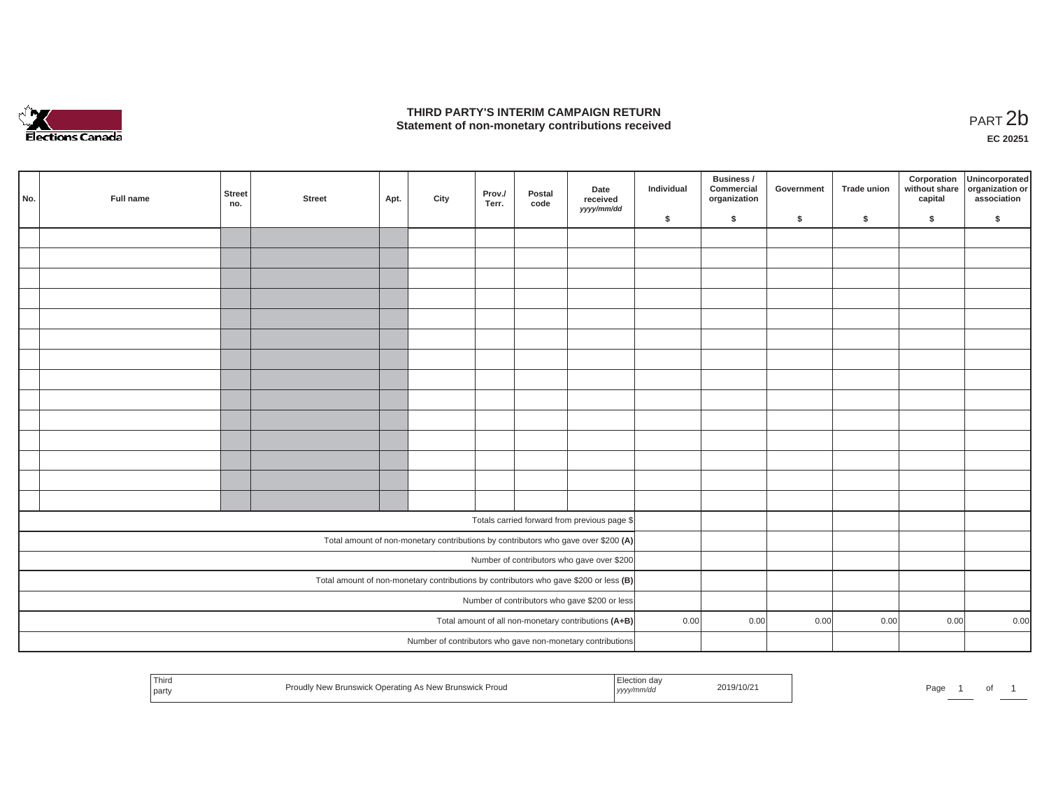

## **THIRD PARTY'S INTERIM CAMPAIGN RETURN**  THIRD PARTY'S INTERIM CAMPAIGN RETURN<br>Statement of non-monetary contributions received<br>**PART 2**b

**EC 20251**

| No. | Full name | Street<br>no. | <b>Street</b> | Apt. | City | Prov./<br>Terr. | Postal<br>code | Date<br>received<br>yyyy/mm/dd                                                        | Individual | Business /<br>Commercial<br>organization | Government | Trade union | Corporation<br>without share<br>capital | Unincorporated<br>organization or<br>association |
|-----|-----------|---------------|---------------|------|------|-----------------|----------------|---------------------------------------------------------------------------------------|------------|------------------------------------------|------------|-------------|-----------------------------------------|--------------------------------------------------|
|     |           |               |               |      |      |                 |                |                                                                                       | \$         | $\mathsf{s}$                             | \$         | \$          | \$                                      | \$                                               |
|     |           |               |               |      |      |                 |                |                                                                                       |            |                                          |            |             |                                         |                                                  |
|     |           |               |               |      |      |                 |                |                                                                                       |            |                                          |            |             |                                         |                                                  |
|     |           |               |               |      |      |                 |                |                                                                                       |            |                                          |            |             |                                         |                                                  |
|     |           |               |               |      |      |                 |                |                                                                                       |            |                                          |            |             |                                         |                                                  |
|     |           |               |               |      |      |                 |                |                                                                                       |            |                                          |            |             |                                         |                                                  |
|     |           |               |               |      |      |                 |                |                                                                                       |            |                                          |            |             |                                         |                                                  |
|     |           |               |               |      |      |                 |                |                                                                                       |            |                                          |            |             |                                         |                                                  |
|     |           |               |               |      |      |                 |                |                                                                                       |            |                                          |            |             |                                         |                                                  |
|     |           |               |               |      |      |                 |                |                                                                                       |            |                                          |            |             |                                         |                                                  |
|     |           |               |               |      |      |                 |                |                                                                                       |            |                                          |            |             |                                         |                                                  |
|     |           |               |               |      |      |                 |                |                                                                                       |            |                                          |            |             |                                         |                                                  |
|     |           |               |               |      |      |                 |                |                                                                                       |            |                                          |            |             |                                         |                                                  |
|     |           |               |               |      |      |                 |                |                                                                                       |            |                                          |            |             |                                         |                                                  |
|     |           |               |               |      |      |                 |                |                                                                                       |            |                                          |            |             |                                         |                                                  |
|     |           |               |               |      |      |                 |                |                                                                                       |            |                                          |            |             |                                         |                                                  |
|     |           |               |               |      |      |                 |                | Totals carried forward from previous page \$                                          |            |                                          |            |             |                                         |                                                  |
|     |           |               |               |      |      |                 |                | Total amount of non-monetary contributions by contributors who gave over \$200 (A)    |            |                                          |            |             |                                         |                                                  |
|     |           |               |               |      |      |                 |                | Number of contributors who gave over \$200                                            |            |                                          |            |             |                                         |                                                  |
|     |           |               |               |      |      |                 |                | Total amount of non-monetary contributions by contributors who gave \$200 or less (B) |            |                                          |            |             |                                         |                                                  |
|     |           |               |               |      |      |                 |                | Number of contributors who gave \$200 or less                                         |            |                                          |            |             |                                         |                                                  |
|     |           |               |               |      |      |                 |                | Total amount of all non-monetary contributions (A+B)                                  | 0.00       | 0.00                                     | 0.00       | 0.00        | 0.00                                    | 0.00                                             |
|     |           |               |               |      |      |                 |                | Number of contributors who gave non-monetary contributions                            |            |                                          |            |             |                                         |                                                  |
|     |           |               |               |      |      |                 |                |                                                                                       |            |                                          |            |             |                                         |                                                  |

|  | Third<br>$1 - 1$<br><b>Contract Contract</b><br>party | Operating As New Brunswick Proud<br>' New Brunswick | ı da<br>.<br>vvvv/mm/da<br>. <i>, , , .</i> | 2019/10/2 | the contract of the contract of the contract of<br>Page |  | 0f |  |
|--|-------------------------------------------------------|-----------------------------------------------------|---------------------------------------------|-----------|---------------------------------------------------------|--|----|--|
|--|-------------------------------------------------------|-----------------------------------------------------|---------------------------------------------|-----------|---------------------------------------------------------|--|----|--|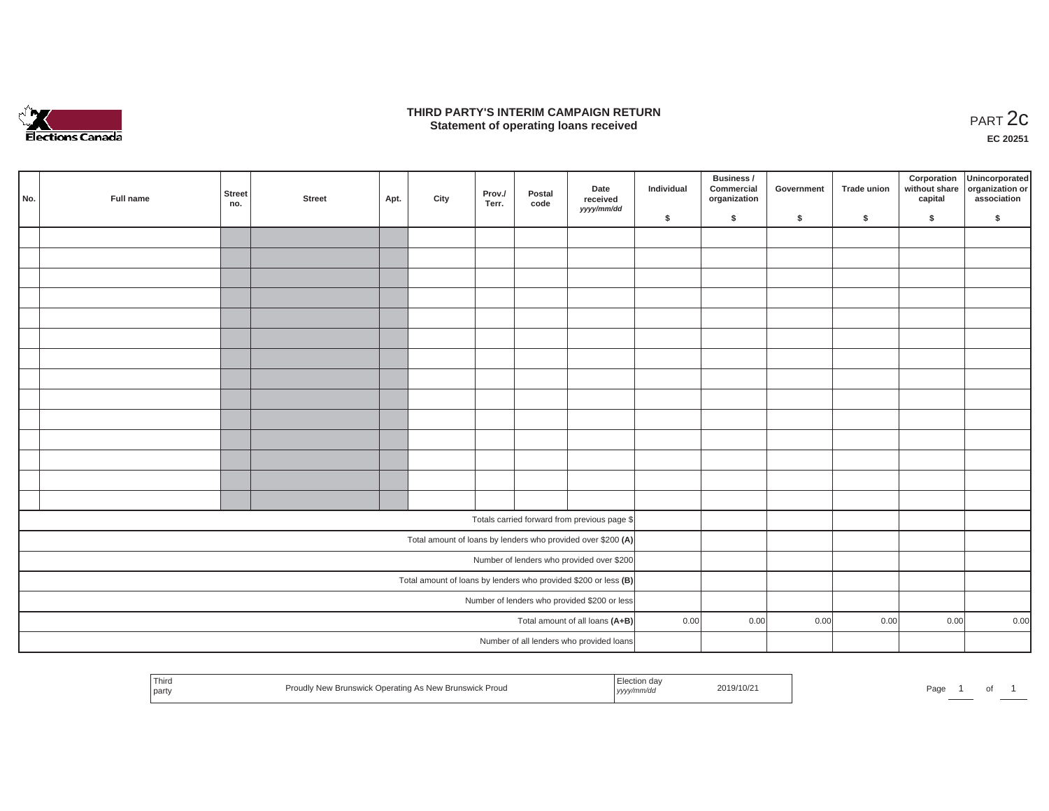

### **THIRD PARTY'S INTERIM CAMPAIGN RETURN**  RD PARTY'S INTERIM CAMPAIGN RETURN<br>Statement of operating loans received **PART 2c**

**EC 20251**

|     |           |               |        |      |      |                 |                |                                                                 |            | Business /                 |            |             | Corporation | Unincorporated                               |
|-----|-----------|---------------|--------|------|------|-----------------|----------------|-----------------------------------------------------------------|------------|----------------------------|------------|-------------|-------------|----------------------------------------------|
| No. | Full name | Street<br>no. | Street | Apt. | City | Prov./<br>Terr. | Postal<br>code | Date<br>received<br>yyyy/mm/dd                                  | Individual | Commercial<br>organization | Government | Trade union | capital     | without share organization or<br>association |
|     |           |               |        |      |      |                 |                |                                                                 | \$         | \$                         | \$         | \$          | \$          | \$                                           |
|     |           |               |        |      |      |                 |                |                                                                 |            |                            |            |             |             |                                              |
|     |           |               |        |      |      |                 |                |                                                                 |            |                            |            |             |             |                                              |
|     |           |               |        |      |      |                 |                |                                                                 |            |                            |            |             |             |                                              |
|     |           |               |        |      |      |                 |                |                                                                 |            |                            |            |             |             |                                              |
|     |           |               |        |      |      |                 |                |                                                                 |            |                            |            |             |             |                                              |
|     |           |               |        |      |      |                 |                |                                                                 |            |                            |            |             |             |                                              |
|     |           |               |        |      |      |                 |                |                                                                 |            |                            |            |             |             |                                              |
|     |           |               |        |      |      |                 |                |                                                                 |            |                            |            |             |             |                                              |
|     |           |               |        |      |      |                 |                |                                                                 |            |                            |            |             |             |                                              |
|     |           |               |        |      |      |                 |                |                                                                 |            |                            |            |             |             |                                              |
|     |           |               |        |      |      |                 |                |                                                                 |            |                            |            |             |             |                                              |
|     |           |               |        |      |      |                 |                |                                                                 |            |                            |            |             |             |                                              |
|     |           |               |        |      |      |                 |                |                                                                 |            |                            |            |             |             |                                              |
|     |           |               |        |      |      |                 |                |                                                                 |            |                            |            |             |             |                                              |
|     |           |               |        |      |      |                 |                |                                                                 |            |                            |            |             |             |                                              |
|     |           |               |        |      |      |                 |                | Totals carried forward from previous page \$                    |            |                            |            |             |             |                                              |
|     |           |               |        |      |      |                 |                | Total amount of loans by lenders who provided over \$200 (A)    |            |                            |            |             |             |                                              |
|     |           |               |        |      |      |                 |                | Number of lenders who provided over \$200                       |            |                            |            |             |             |                                              |
|     |           |               |        |      |      |                 |                | Total amount of loans by lenders who provided \$200 or less (B) |            |                            |            |             |             |                                              |
|     |           |               |        |      |      |                 |                | Number of lenders who provided \$200 or less                    |            |                            |            |             |             |                                              |
|     |           |               |        |      |      |                 |                | Total amount of all loans (A+B)                                 | 0.00       | 0.00                       | 0.00       | 0.00        | 0.00        | 0.00                                         |
|     |           |               |        |      |      |                 |                | Number of all lenders who provided loans                        |            |                            |            |             |             |                                              |

| Third<br>. Election da<br>2019/10/2<br>Proudly New Brunswick Operating As New Brunswick Proud<br>Page<br>part<br>, yyyy/mm/aa |  |  |  |
|-------------------------------------------------------------------------------------------------------------------------------|--|--|--|
|-------------------------------------------------------------------------------------------------------------------------------|--|--|--|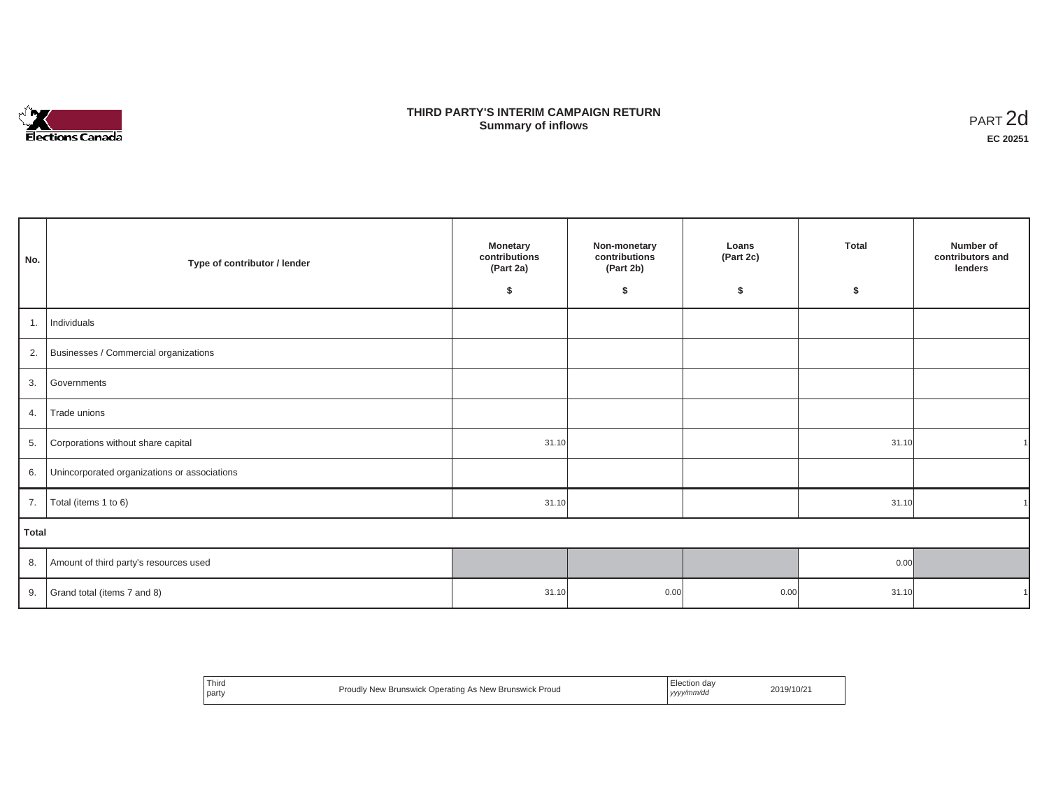

## **THIRD PARTY'S INTERIM CAMPAIGN RETURN SUMMARY STATE SUMMARY OF A SUMMARY OF A SUMMARY OF A SUMMARY OF A SUMMARY OF A SUMMARY OF A SUMMARY OF A SUMMA**<br> **Summary of inflows**

| No.   | Type of contributor / lender                    | <b>Monetary</b><br>contributions<br>(Part 2a)<br>\$ | Non-monetary<br>contributions<br>(Part 2b)<br>\$ | Loans<br>(Part 2c)<br>\$ | <b>Total</b><br>\$ | Number of<br>contributors and<br>lenders |
|-------|-------------------------------------------------|-----------------------------------------------------|--------------------------------------------------|--------------------------|--------------------|------------------------------------------|
| 1.    | Individuals                                     |                                                     |                                                  |                          |                    |                                          |
|       | 2. Businesses / Commercial organizations        |                                                     |                                                  |                          |                    |                                          |
|       | 3. Governments                                  |                                                     |                                                  |                          |                    |                                          |
| 4.    | Trade unions                                    |                                                     |                                                  |                          |                    |                                          |
| 5.    | Corporations without share capital              | 31.10                                               |                                                  |                          | 31.10              |                                          |
|       | 6. Unincorporated organizations or associations |                                                     |                                                  |                          |                    |                                          |
| 7.    | Total (items 1 to 6)                            | 31.10                                               |                                                  |                          | 31.10              |                                          |
| Total |                                                 |                                                     |                                                  |                          |                    |                                          |
|       | 8. Amount of third party's resources used       |                                                     |                                                  |                          | 0.00               |                                          |
|       | 9. Grand total (items $7$ and $8$ )             | 31.10                                               | 0.00                                             | 0.00                     | 31.10              |                                          |

| <sup>1</sup> Third<br>l partv | Proudly New Brunswick Operating As New Brunswick Proud | Election day<br>yyyy/mm/dd | 2019/10/21 |
|-------------------------------|--------------------------------------------------------|----------------------------|------------|
|-------------------------------|--------------------------------------------------------|----------------------------|------------|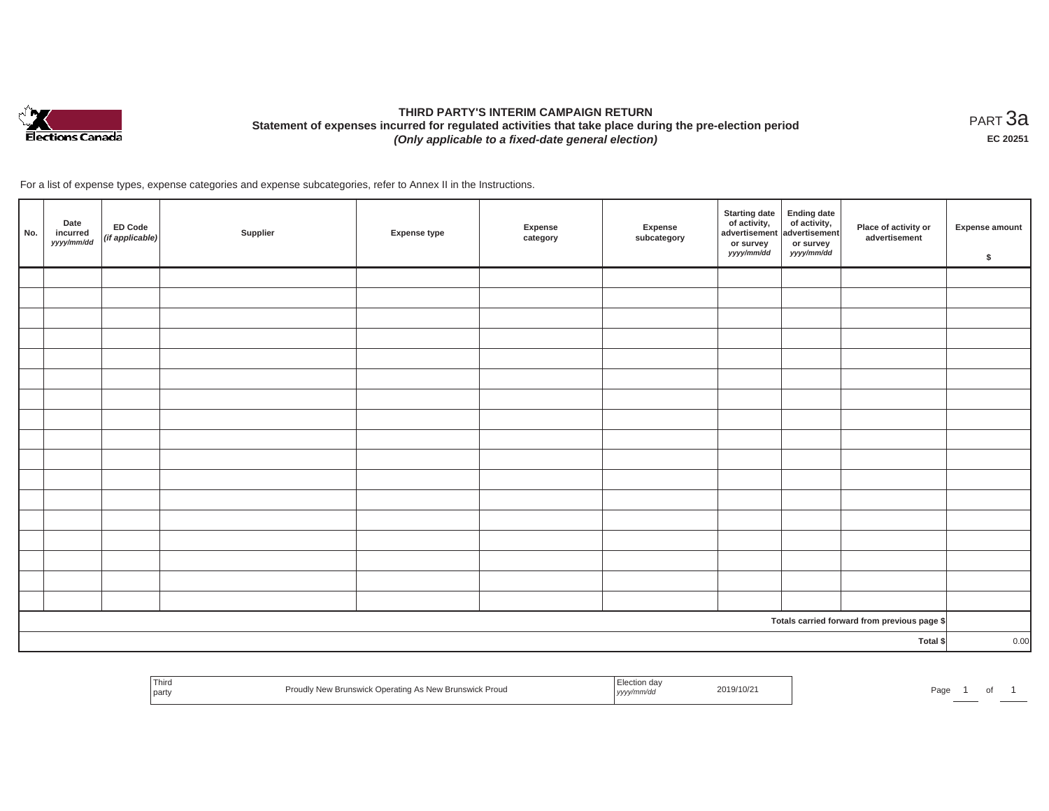

# **THIRD PARTY'S INTERIM CAMPAIGN RETURN Statement of expenses incurred for regulated activities that take place during the pre-election period**  *(Only applicable to a fixed-date general election)*

<code>PART $3$ a</code> **EC 20251**

For a list of expense types, expense categories and expense subcategories, refer to Annex II in the Instructions.

| No.      | Date<br>incurred<br>yyyy/mm/dd | ED Code<br>$(if$ applicable) | Supplier | <b>Expense type</b> | Expense<br>category | Expense<br>subcategory | <b>Starting date</b><br>of activity,<br>advertisement<br>or survey<br>yyyy/mm/dd | Ending date<br>of activity,<br>advertisement<br>or survey<br>yyyy/mm/dd | Place of activity or<br>advertisement        | Expense amount<br>\$ |
|----------|--------------------------------|------------------------------|----------|---------------------|---------------------|------------------------|----------------------------------------------------------------------------------|-------------------------------------------------------------------------|----------------------------------------------|----------------------|
|          |                                |                              |          |                     |                     |                        |                                                                                  |                                                                         |                                              |                      |
|          |                                |                              |          |                     |                     |                        |                                                                                  |                                                                         |                                              |                      |
|          |                                |                              |          |                     |                     |                        |                                                                                  |                                                                         |                                              |                      |
|          |                                |                              |          |                     |                     |                        |                                                                                  |                                                                         |                                              |                      |
|          |                                |                              |          |                     |                     |                        |                                                                                  |                                                                         |                                              |                      |
|          |                                |                              |          |                     |                     |                        |                                                                                  |                                                                         |                                              |                      |
|          |                                |                              |          |                     |                     |                        |                                                                                  |                                                                         |                                              |                      |
|          |                                |                              |          |                     |                     |                        |                                                                                  |                                                                         |                                              |                      |
|          |                                |                              |          |                     |                     |                        |                                                                                  |                                                                         |                                              |                      |
|          |                                |                              |          |                     |                     |                        |                                                                                  |                                                                         |                                              |                      |
|          |                                |                              |          |                     |                     |                        |                                                                                  |                                                                         |                                              |                      |
|          |                                |                              |          |                     |                     |                        |                                                                                  |                                                                         |                                              |                      |
|          |                                |                              |          |                     |                     |                        |                                                                                  |                                                                         |                                              |                      |
|          |                                |                              |          |                     |                     |                        |                                                                                  |                                                                         |                                              |                      |
|          |                                |                              |          |                     |                     |                        |                                                                                  |                                                                         |                                              |                      |
|          |                                |                              |          |                     |                     |                        |                                                                                  |                                                                         |                                              |                      |
|          |                                |                              |          |                     |                     |                        |                                                                                  |                                                                         |                                              |                      |
|          |                                |                              |          |                     |                     |                        |                                                                                  |                                                                         | Totals carried forward from previous page \$ |                      |
| Total \$ |                                |                              |          |                     |                     |                        | 0.00                                                                             |                                                                         |                                              |                      |

| Third<br>  party | Proudi.<br><sup>.</sup> Prouc<br>perating As New Brunswick F<br>.<br>. Brunswick <sup>(*</sup> | ua.<br>$\cdots$<br>,,,, | 2019/10/21 | Page |  |  |
|------------------|------------------------------------------------------------------------------------------------|-------------------------|------------|------|--|--|
|                  |                                                                                                |                         |            |      |  |  |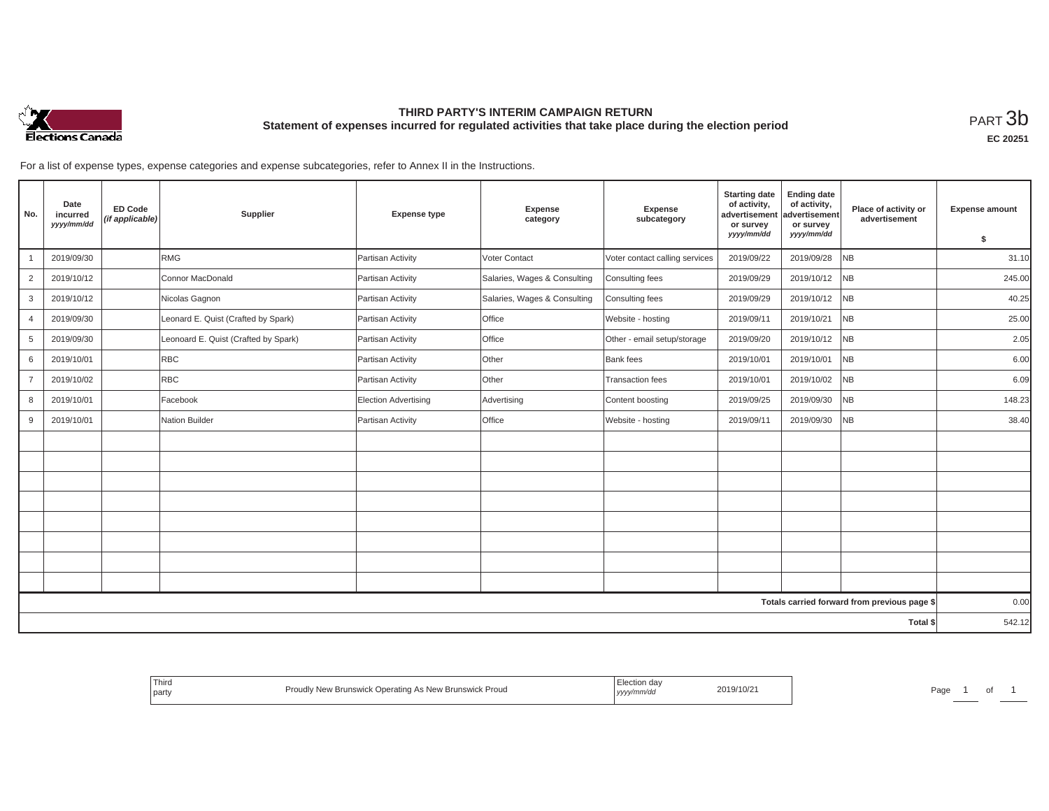

## **THIRD PARTY'S INTERIM CAMPAIGN RETURN Statement of expenses incurred for regulated activities that take place during the election period**<br>РАRТ  $3\mathrm{b}$

**EC 20251**

For a list of expense types, expense categories and expense subcategories, refer to Annex II in the Instructions.

| No.            | Date<br>incurred<br>yyyy/mm/dd | <b>ED Code</b><br>(if applicable) | Supplier                             | <b>Expense type</b>         | Expense<br>category          | Expense<br>subcategory         | <b>Starting date</b><br>of activity,<br>advertisement<br>or survey<br>yyyy/mm/dd | <b>Ending date</b><br>of activity,<br>advertisement<br>or survey<br>yyyy/mm/dd | Place of activity or<br>advertisement        | <b>Expense amount</b> |
|----------------|--------------------------------|-----------------------------------|--------------------------------------|-----------------------------|------------------------------|--------------------------------|----------------------------------------------------------------------------------|--------------------------------------------------------------------------------|----------------------------------------------|-----------------------|
|                |                                |                                   | <b>RMG</b>                           |                             | <b>Voter Contact</b>         |                                |                                                                                  | 2019/09/28                                                                     | <b>NB</b>                                    | \$<br>31.10           |
|                | 2019/09/30                     |                                   |                                      | Partisan Activity           |                              | Voter contact calling services | 2019/09/22                                                                       |                                                                                |                                              |                       |
| $\overline{2}$ | 2019/10/12                     |                                   | Connor MacDonald                     | Partisan Activity           | Salaries, Wages & Consulting | Consulting fees                | 2019/09/29                                                                       | 2019/10/12                                                                     | <b>NB</b>                                    | 245.00                |
| 3              | 2019/10/12                     |                                   | Nicolas Gagnon                       | Partisan Activity           | Salaries, Wages & Consulting | Consulting fees                | 2019/09/29                                                                       | 2019/10/12                                                                     | <b>NB</b>                                    | 40.25                 |
| $\overline{4}$ | 2019/09/30                     |                                   | Leonard E. Quist (Crafted by Spark)  | Partisan Activity           | Office                       | Website - hosting              | 2019/09/11                                                                       | 2019/10/21                                                                     | <b>NB</b>                                    | 25.00                 |
| 5              | 2019/09/30                     |                                   | Leonoard E. Quist (Crafted by Spark) | Partisan Activity           | Office                       | Other - email setup/storage    | 2019/09/20                                                                       | 2019/10/12                                                                     | <b>NB</b>                                    | 2.05                  |
| 6              | 2019/10/01                     |                                   | <b>RBC</b>                           | Partisan Activity           | Other                        | <b>Bank</b> fees               | 2019/10/01                                                                       | 2019/10/01                                                                     | NB                                           | 6.00                  |
| $\overline{7}$ | 2019/10/02                     |                                   | <b>RBC</b>                           | Partisan Activity           | Other                        | <b>Transaction fees</b>        | 2019/10/01                                                                       | 2019/10/02                                                                     | <b>NB</b>                                    | 6.09                  |
| 8              | 2019/10/01                     |                                   | Facebook                             | <b>Election Advertising</b> | Advertising                  | Content boosting               | 2019/09/25                                                                       | 2019/09/30                                                                     | NB                                           | 148.23                |
| 9              | 2019/10/01                     |                                   | Nation Builder                       | Partisan Activity           | Office                       | Website - hosting              | 2019/09/11                                                                       | 2019/09/30                                                                     | <b>NB</b>                                    | 38.40                 |
|                |                                |                                   |                                      |                             |                              |                                |                                                                                  |                                                                                |                                              |                       |
|                |                                |                                   |                                      |                             |                              |                                |                                                                                  |                                                                                |                                              |                       |
|                |                                |                                   |                                      |                             |                              |                                |                                                                                  |                                                                                |                                              |                       |
|                |                                |                                   |                                      |                             |                              |                                |                                                                                  |                                                                                |                                              |                       |
|                |                                |                                   |                                      |                             |                              |                                |                                                                                  |                                                                                |                                              |                       |
|                |                                |                                   |                                      |                             |                              |                                |                                                                                  |                                                                                |                                              |                       |
|                |                                |                                   |                                      |                             |                              |                                |                                                                                  |                                                                                |                                              |                       |
|                |                                |                                   |                                      |                             |                              |                                |                                                                                  |                                                                                |                                              |                       |
|                |                                |                                   |                                      |                             |                              |                                |                                                                                  |                                                                                | Totals carried forward from previous page \$ | 0.00                  |
| Total \$       |                                |                                   |                                      |                             |                              |                                | 542.12                                                                           |                                                                                |                                              |                       |

| <sup>'</sup> Third<br>، معدا<br>party | y New Brunswick Operating As New Brunswick Proud | ≞lection da∨<br>vvvvn | 2019/10/2 | Pag |  |
|---------------------------------------|--------------------------------------------------|-----------------------|-----------|-----|--|
|---------------------------------------|--------------------------------------------------|-----------------------|-----------|-----|--|